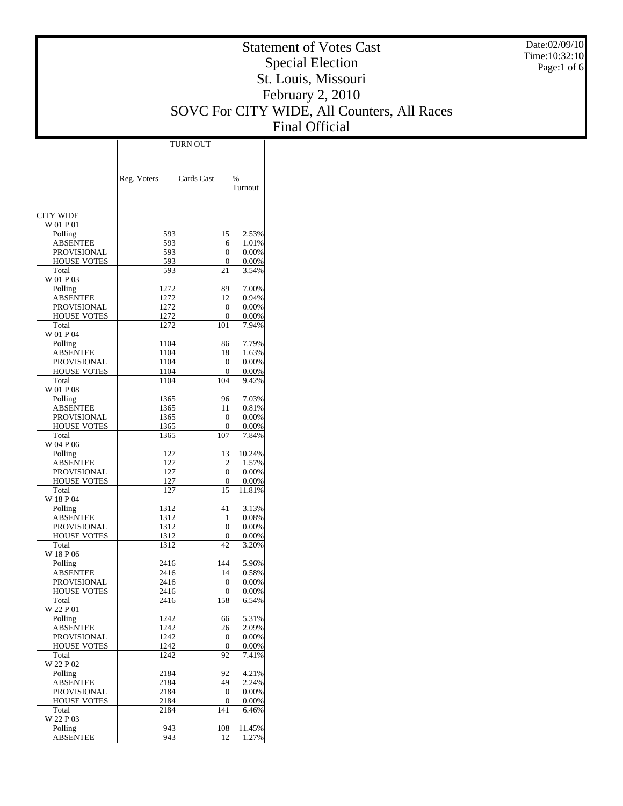Date:02/09/10 Time:10:32:10 Page:1 of 6

# Statement of Votes Cast Special Election St. Louis, Missouri February 2, 2010 SOVC For CITY WIDE, All Counters, All Races Final Official

|                               | Reg. Voters  | Cards Cast      | $\%$<br>Turnout |
|-------------------------------|--------------|-----------------|-----------------|
|                               |              |                 |                 |
| <b>CITY WIDE</b><br>W 01 P 01 |              |                 |                 |
| Polling                       | 593          | 15              | 2.53%           |
| <b>ABSENTEE</b>               | 593          | 6               | 1.01%           |
| <b>PROVISIONAL</b>            | 593          | $\Omega$        | 0.00%           |
| <b>HOUSE VOTES</b>            | 593          | $\Omega$        | 0.00%           |
| Total                         | 593          | 21              | 3.54%           |
| W 01 P 03                     |              |                 |                 |
| Polling                       | 1272         | 89              | 7.00%           |
| <b>ABSENTEE</b>               | 1272         | 12              | 0.94%           |
| <b>PROVISIONAL</b>            | 1272         | $\Omega$        | 0.00%           |
| <b>HOUSE VOTES</b><br>Total   | 1272<br>1272 | $\Omega$<br>101 | 0.00%<br>7.94%  |
| W 01 P 04                     |              |                 |                 |
| Polling                       | 1104         | 86              | 7.79%           |
| <b>ABSENTEE</b>               | 1104         | 18              | 1.63%           |
| <b>PROVISIONAL</b>            | 1104         | $\Omega$        | 0.00%           |
| <b>HOUSE VOTES</b>            | 1104         | $\Omega$        | 0.00%           |
| Total                         | 1104         | 104             | 9.42%           |
| W 01 P 08                     |              |                 |                 |
| Polling                       | 1365         | 96              | 7.03%           |
| <b>ABSENTEE</b>               | 1365         | 11              | 0.81%           |
| <b>PROVISIONAL</b>            | 1365         | $\Omega$        | 0.00%           |
| <b>HOUSE VOTES</b>            | 1365         | 0               | 0.00%           |
| Total<br>W 04 P 06            | 1365         | 107             | 7.84%           |
| Polling                       | 127          | 13              | 10.24%          |
| <b>ABSENTEE</b>               | 127          | $\overline{c}$  | 1.57%           |
| <b>PROVISIONAL</b>            | 127          | $\Omega$        | 0.00%           |
| <b>HOUSE VOTES</b>            | 127          | 0               | 0.00%           |
| Total<br>W 18 P 04            | 127          | 15              | 11.81%          |
| Polling                       | 1312         | 41              | 3.13%           |
| <b>ABSENTEE</b>               | 1312         | 1               | 0.08%           |
| <b>PROVISIONAL</b>            | 1312         | $\Omega$        | 0.00%           |
| <b>HOUSE VOTES</b>            | 1312         | 0               | 0.00%           |
| Total                         | 1312         | 42              | 3.20%           |
| W 18 P 06                     |              |                 |                 |
| Polling                       | 2416         | 144             | 5.96%           |
| <b>ABSENTEE</b>               | 2416         | 14              | 0.58%           |
| <b>PROVISIONAL</b>            | 2416         | $\Omega$        | 0.00%           |
| <b>HOUSE VOTES</b><br>Total   | 2416<br>2416 | $\Omega$<br>158 | 0.00%<br>6.54%  |
| W 22 P 01                     |              |                 |                 |
| Polling                       | 1242         | 66              | 5.31%           |
| <b>ABSENTEE</b>               | 1242         | 26              | 2.09%           |
| PROVISIONAL                   | 1242         | 0               | 0.00%           |
| <b>HOUSE VOTES</b>            | 1242         | $\overline{0}$  | 0.00%           |
| Total                         | 1242         | 92              | 7.41%           |
| W 22 P 02                     |              |                 |                 |
| Polling                       | 2184         | 92              | 4.21%           |
| <b>ABSENTEE</b>               | 2184         | 49              | 2.24%           |
| PROVISIONAL                   | 2184         | $\overline{0}$  | 0.00%           |
| <b>HOUSE VOTES</b>            | 2184         | $\overline{0}$  | 0.00%           |
| Total<br>W 22 P 03            | 2184         | 141             | 6.46%           |
| Polling                       | 943          | 108             | 11.45%          |
| <b>ABSENTEE</b>               | 943          | 12              | 1.27%           |
|                               |              |                 |                 |

TURN OUT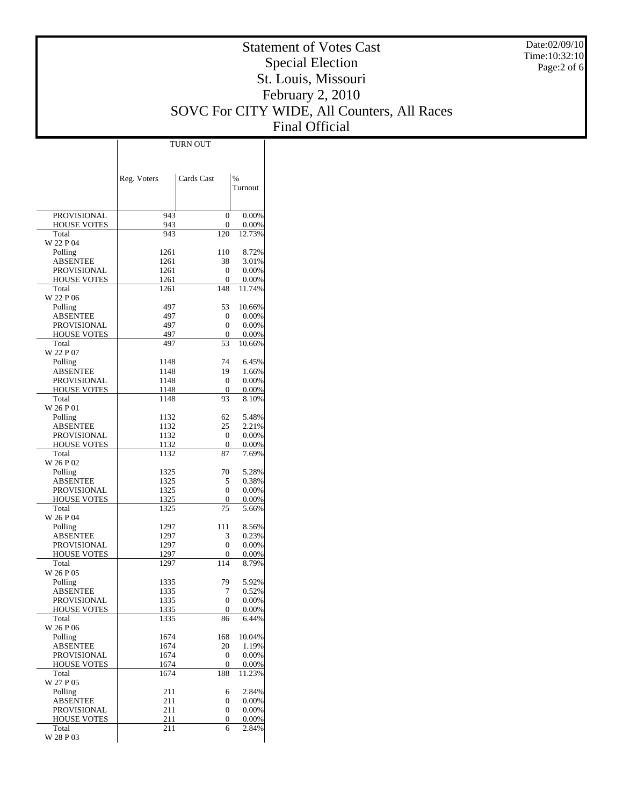Date:02/09/10 Time:10:32:10 Page:2 of 6

# Statement of Votes Cast Special Election St. Louis, Missouri February 2, 2010 SOVC For CITY WIDE, All Counters, All Races Final Official

|                                   | Reg. Voters  | Cards Cast     | $\%$              |
|-----------------------------------|--------------|----------------|-------------------|
|                                   |              |                | Turnout           |
|                                   |              |                |                   |
| <b>PROVISIONAL</b>                | 943          | 0              | 0.00%             |
| <b>HOUSE VOTES</b>                | 943          | 0              | 0.00%             |
| Total<br>W 22 P 04                | 943          | 120            | 12.73%            |
| Polling                           | 1261         | 110            | 8.72%             |
| <b>ABSENTEE</b>                   | 1261         | 38             | 3.01%             |
| PROVISIONAL                       | 1261         | 0              | 0.00%             |
| <b>HOUSE VOTES</b>                | 1261         | 0              | 0.00%             |
| Total<br>W 22 P 06                | 1261         | 148            | 11.74%            |
| Polling                           | 497          | 53             | 10.66%            |
| <b>ABSENTEE</b>                   | 497          | $\mathbf{0}$   | 0.00%             |
| PROVISIONAL                       | 497          | 0              | 0.00%             |
| <b>HOUSE VOTES</b>                | 497          | $\mathbf{0}$   | 0.00%             |
| Total<br>W 22 P 07                | 497          | 53             | 10.66%            |
| Polling                           | 1148         | 74             | 6.45%             |
| <b>ABSENTEE</b>                   | 1148         | 19             | 1.66%             |
| <b>PROVISIONAL</b>                | 1148         | $\mathbf{0}$   | 0.00%             |
| <b>HOUSE VOTES</b>                | 1148         | $\theta$       | 0.00%             |
| Total                             | 1148         | 93             | 8.10%             |
| W 26 P 01                         |              |                |                   |
| Polling<br><b>ABSENTEE</b>        | 1132<br>1132 | 62<br>25       | 5.48%<br>2.21%    |
| PROVISIONAL                       | 1132         | $\mathbf{0}$   | 0.00%             |
| <b>HOUSE VOTES</b>                | 1132         | $\mathbf{0}$   | 0.00%             |
| Total                             | 1132         | 87             | 7.69%             |
| W 26 P 02                         |              |                |                   |
| Polling                           | 1325         | 70             | 5.28%             |
| <b>ABSENTEE</b><br>PROVISIONAL    | 1325<br>1325 | 5<br>0         | 0.38%<br>0.00%    |
| <b>HOUSE VOTES</b>                | 1325         | 0              | 0.00%             |
| Total                             | 1325         | 75             | 5.66%             |
| W 26 P 04                         |              |                |                   |
| Polling                           | 1297         | 111            | 8.56%             |
| <b>ABSENTEE</b>                   | 1297         | 3              | 0.23%             |
| PROVISIONAL<br><b>HOUSE VOTES</b> | 1297<br>1297 | 0<br>0         | 0.00%<br>0.00%    |
| Total                             | 1297         | 114            | 8.79%             |
| W 26 P 05                         |              |                |                   |
| Polling                           | 1335         | 79             | 5.92%             |
| <b>ABSENTEE</b>                   | 1335         | 7              | 0.52%             |
| <b>PROVISIONAL</b>                | 1335         | $\overline{0}$ | 0.00%             |
| HOUSE VOTES<br>Total              | 1335         | $\Omega$       | $0.00\%$<br>6.44% |
| W 26 P 06                         | 1335         | 86             |                   |
| Polling                           | 1674         | 168            | 10.04%            |
| <b>ABSENTEE</b>                   | 1674         | 20             | 1.19%             |
| PROVISIONAL                       | 1674         | 0              | 0.00%             |
| <b>HOUSE VOTES</b>                | 1674         | 0              | 0.00%             |
| Total<br>W 27 P 05                | 1674         | 188            | 11.23%            |
| Polling                           | 211          | 6              | 2.84%             |
| <b>ABSENTEE</b>                   | 211          | 0              | 0.00%             |
| PROVISIONAL                       | 211          | 0              | 0.00%             |
| <b>HOUSE VOTES</b>                | 211          | 0              | 0.00%             |
| Total<br>W 28 P 03                | 211          | 6              | 2.84%             |
|                                   |              |                |                   |

TURN OUT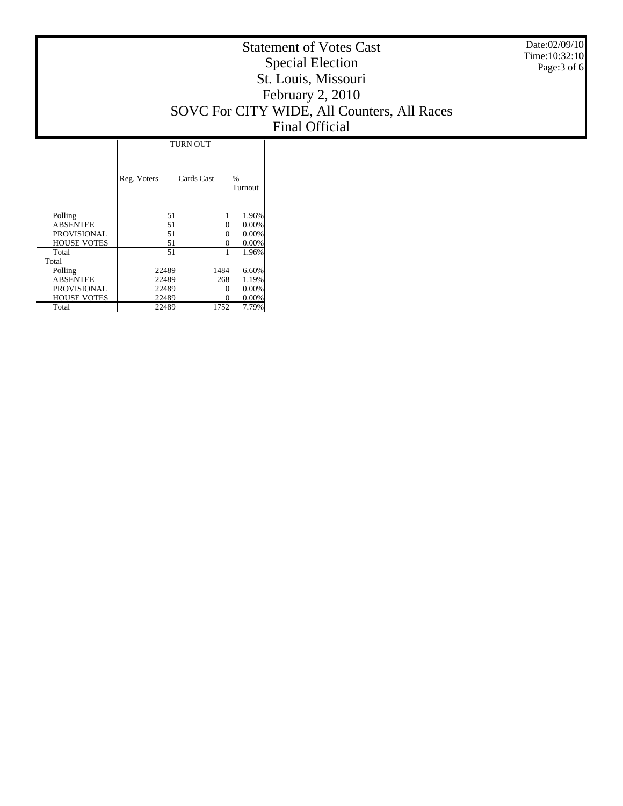Date:02/09/10 Time:10:32:10 Page:3 of 6

# Statement of Votes Cast Special Election St. Louis, Missouri February 2, 2010 SOVC For CITY WIDE, All Counters, All Races Final Official

|                    | <b>TURN OUT</b> |            |                          |  |  |  |  |
|--------------------|-----------------|------------|--------------------------|--|--|--|--|
|                    | Reg. Voters     | Cards Cast | $\frac{0}{0}$<br>Turnout |  |  |  |  |
| Polling            | 51              |            | 1.96%                    |  |  |  |  |
| <b>ABSENTEE</b>    | 51              | 0          | 0.00%                    |  |  |  |  |
| PROVISIONAL        | 51              | 0          | 0.00%                    |  |  |  |  |
| <b>HOUSE VOTES</b> | 51              | 0          | 0.00%                    |  |  |  |  |
| Total              | 51              | 1          | 1.96%                    |  |  |  |  |
| Total              |                 |            |                          |  |  |  |  |
| Polling            | 22489           | 1484       | 6.60%                    |  |  |  |  |
| <b>ABSENTEE</b>    | 22489           | 268        | 1.19%                    |  |  |  |  |
| <b>PROVISIONAL</b> | 22489           | 0          | 0.00%                    |  |  |  |  |
| <b>HOUSE VOTES</b> | 22489           | 0          | $0.00\%$                 |  |  |  |  |
| Total              | 22489           | 1752       | 7.79%                    |  |  |  |  |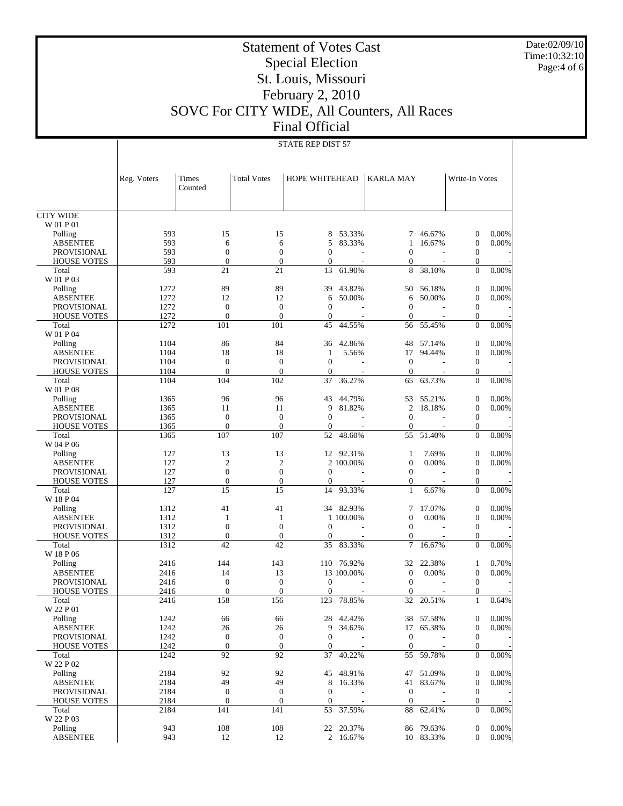Date:02/09/10 Time:10:32:10 Page:4 of 6

# Statement of Votes Cast Special Election St. Louis, Missouri February 2, 2010 SOVC For CITY WIDE, All Counters, All Races Final Official

STATE REP DIST 57

|                            | Reg. Voters  | Times<br>Counted   | <b>Total Votes</b> | HOPE WHITEHEAD |                  | <b>KARLA MAY</b> |                  | Write-In Votes                     |                |
|----------------------------|--------------|--------------------|--------------------|----------------|------------------|------------------|------------------|------------------------------------|----------------|
| <b>CITY WIDE</b>           |              |                    |                    |                |                  |                  |                  |                                    |                |
| W 01 P 01                  |              |                    |                    |                |                  |                  |                  |                                    |                |
| Polling                    | 593          | 15                 | 15                 | 8              | 53.33%           | 7                | 46.67%           | $\boldsymbol{0}$                   | 0.00%          |
| <b>ABSENTEE</b>            | 593          | 6                  | 6                  | 5              | 83.33%           | 1                | 16.67%           | $\mathbf{0}$                       | 0.00%          |
| <b>PROVISIONAL</b>         | 593          | $\overline{0}$     | $\boldsymbol{0}$   | $\theta$       |                  | $\overline{0}$   |                  | $\boldsymbol{0}$                   |                |
| <b>HOUSE VOTES</b>         | 593          | $\theta$           | $\overline{0}$     | $\theta$       |                  | $\overline{0}$   |                  | $\theta$                           |                |
| Total                      | 593          | 21                 | 21                 | 13             | 61.90%           | 8                | 38.10%           | $\mathbf{0}$                       | 0.00%          |
| W 01 P 03                  |              |                    |                    |                |                  |                  |                  |                                    |                |
| Polling                    | 1272         | 89                 | 89                 | 39             | 43.82%           | 50               | 56.18%           | $\boldsymbol{0}$                   | 0.00%          |
| <b>ABSENTEE</b>            | 1272         | 12                 | 12                 | 6              | 50.00%           | 6                | 50.00%           | $\overline{0}$                     | 0.00%          |
| <b>PROVISIONAL</b>         | 1272         | $\mathbf{0}$       | $\boldsymbol{0}$   | $\theta$       |                  | $\boldsymbol{0}$ |                  | $\boldsymbol{0}$                   |                |
| <b>HOUSE VOTES</b>         | 1272         | $\theta$           | $\overline{0}$     | $\overline{0}$ | $\overline{a}$   | $\overline{0}$   |                  | $\theta$                           |                |
| Total                      | 1272         | 101                | 101                | 45             | 44.55%           | 56               | 55.45%           | $\overline{0}$                     | 0.00%          |
| W 01 P 04                  |              |                    |                    |                |                  |                  |                  |                                    |                |
| Polling                    | 1104         | 86                 | 84                 | 36             | 42.86%           | 48               | 57.14%           | $\boldsymbol{0}$                   | 0.00%          |
| <b>ABSENTEE</b>            | 1104         | 18                 | 18                 | 1              | 5.56%            | 17               | 94.44%           | $\overline{0}$                     | 0.00%          |
| <b>PROVISIONAL</b>         | 1104         | $\mathbf{0}$       | $\boldsymbol{0}$   | $\overline{0}$ |                  | $\mathbf{0}$     |                  | $\boldsymbol{0}$                   |                |
| <b>HOUSE VOTES</b>         | 1104         | $\theta$           | $\overline{0}$     | $\overline{0}$ |                  | $\overline{0}$   |                  | $\theta$                           |                |
| Total                      | 1104         | 104                | 102                | 37             | 36.27%           | 65               | 63.73%           | $\overline{0}$                     | 0.00%          |
| W 01 P 08                  |              | 96                 | 96                 |                |                  |                  |                  |                                    |                |
| Polling<br><b>ABSENTEE</b> | 1365         |                    | 11                 | 43<br>9        | 44.79%<br>81.82% | 53<br>2          | 55.21%<br>18.18% | $\boldsymbol{0}$<br>$\overline{0}$ | 0.00%<br>0.00% |
| <b>PROVISIONAL</b>         | 1365<br>1365 | 11<br>$\mathbf{0}$ | $\boldsymbol{0}$   | $\theta$       |                  | $\boldsymbol{0}$ |                  | $\boldsymbol{0}$                   |                |
| <b>HOUSE VOTES</b>         | 1365         | $\overline{0}$     | $\overline{0}$     | $\overline{0}$ | $\overline{a}$   | $\overline{0}$   |                  | $\theta$                           |                |
| Total                      | 1365         | 107                | 107                | 52             | 48.60%           | 55               | 51.40%           | $\overline{0}$                     | 0.00%          |
| W 04 P 06                  |              |                    |                    |                |                  |                  |                  |                                    |                |
| Polling                    | 127          | 13                 | 13                 | 12             | 92.31%           | 1                | 7.69%            | $\boldsymbol{0}$                   | 0.00%          |
| <b>ABSENTEE</b>            | 127          | $\overline{c}$     | $\mathfrak{2}$     |                | 2 100.00%        | $\boldsymbol{0}$ | 0.00%            | $\overline{0}$                     | 0.00%          |
| <b>PROVISIONAL</b>         | 127          | $\mathbf{0}$       | $\boldsymbol{0}$   | $\theta$       |                  | $\boldsymbol{0}$ |                  | $\boldsymbol{0}$                   |                |
| <b>HOUSE VOTES</b>         | 127          | $\overline{0}$     | $\overline{0}$     | $\theta$       |                  | $\mathbf{0}$     |                  | $\theta$                           |                |
| Total                      | 127          | 15                 | 15                 | 14             | 93.33%           | $\mathbf{1}$     | 6.67%            | $\overline{0}$                     | 0.00%          |
| W 18 P 04                  |              |                    |                    |                |                  |                  |                  |                                    |                |
| Polling                    | 1312         | 41                 | 41                 | 34             | 82.93%           | 7                | 17.07%           | $\boldsymbol{0}$                   | 0.00%          |
| <b>ABSENTEE</b>            | 1312         | 1                  | 1                  |                | 1 100.00%        | $\boldsymbol{0}$ | 0.00%            | $\theta$                           | 0.00%          |
| <b>PROVISIONAL</b>         | 1312         | $\overline{0}$     | $\boldsymbol{0}$   | $\theta$       |                  | $\boldsymbol{0}$ |                  | $\boldsymbol{0}$                   |                |
| <b>HOUSE VOTES</b>         | 1312         | $\overline{0}$     | $\overline{0}$     | $\overline{0}$ | $\overline{a}$   | $\overline{0}$   |                  | $\overline{0}$                     |                |
| Total                      | 1312         | 42                 | 42                 | 35             | 83.33%           | 7                | 16.67%           | $\overline{0}$                     | 0.00%          |
| W 18 P 06                  |              |                    |                    |                |                  |                  |                  |                                    |                |
| Polling                    | 2416         | 144                | 143                | 110            | 76.92%           | 32               | 22.38%           | 1                                  | 0.70%          |
| <b>ABSENTEE</b>            | 2416         | 14                 | 13                 |                | 13 100.00%       | $\boldsymbol{0}$ | 0.00%            | $\overline{0}$                     | $0.00\%$       |
| <b>PROVISIONAL</b>         | 2416         | $\mathbf{0}$       | $\boldsymbol{0}$   | $\overline{0}$ |                  | $\overline{0}$   |                  | $\mathbf{0}$                       |                |
| <b>HOUSE VOTES</b>         | 2416         | $\overline{0}$     | $\overline{0}$     | $\overline{0}$ |                  | $\mathbf{0}$     |                  | $\overline{0}$                     |                |
| Total                      | 2416         | 158                | 156                | 123            | 78.85%           | 32               | 20.51%           | 1                                  | 0.64%          |
| W 22 P 01                  |              |                    |                    |                |                  |                  |                  |                                    |                |
| Polling                    | 1242         | 66                 | 66                 |                | 28 42.42%        |                  | 38 57.58%        | $\boldsymbol{0}$                   | 0.00%          |
| <b>ABSENTEE</b>            | 1242         | 26                 | 26                 | 9              | 34.62%           |                  | 17 65.38%        | $\boldsymbol{0}$                   | 0.00%          |
| PROVISIONAL                | 1242         | $\boldsymbol{0}$   | $\boldsymbol{0}$   | $\overline{0}$ |                  | $\boldsymbol{0}$ |                  | $\boldsymbol{0}$                   |                |
| <b>HOUSE VOTES</b>         | 1242         | $\boldsymbol{0}$   | $\boldsymbol{0}$   | $\theta$       |                  | $\mathbf{0}$     |                  | $\theta$                           |                |
| Total                      | 1242         | 92                 | 92                 | 37             | 40.22%           | 55               | 59.78%           | $\theta$                           | 0.00%          |
| W 22 P 02                  |              |                    |                    |                |                  |                  |                  |                                    |                |
| Polling                    | 2184         | 92                 | 92                 | 45             | 48.91%           | 47               | 51.09%           | $\mathbf{0}$                       | 0.00%          |
| <b>ABSENTEE</b>            | 2184         | 49                 | 49                 | 8              | 16.33%           | 41               | 83.67%           | $\mathbf{0}$                       | 0.00%          |
| <b>PROVISIONAL</b>         | 2184         | $\boldsymbol{0}$   | $\mathbf{0}$       | $\theta$       |                  | $\mathbf{0}$     |                  | $\boldsymbol{0}$                   |                |
| <b>HOUSE VOTES</b>         | 2184         | $\mathbf{0}$       | $\boldsymbol{0}$   | $\mathbf{0}$   |                  | $\mathbf{0}$     |                  | $\mathbf{0}$                       |                |
| Total                      | 2184         | 141                | 141                | 53             | 37.59%           | 88               | 62.41%           | $\theta$                           | $0.00\%$       |
| W 22 P 03                  |              |                    |                    |                |                  |                  |                  |                                    |                |
| Polling                    | 943          | 108                | 108                | 22             | 20.37%           |                  | 86 79.63%        | $\mathbf 0$                        | 0.00%          |
| <b>ABSENTEE</b>            | 943          | 12                 | 12                 |                | 2 16.67%         |                  | 10 83.33%        | $\overline{0}$                     | $0.00\%$       |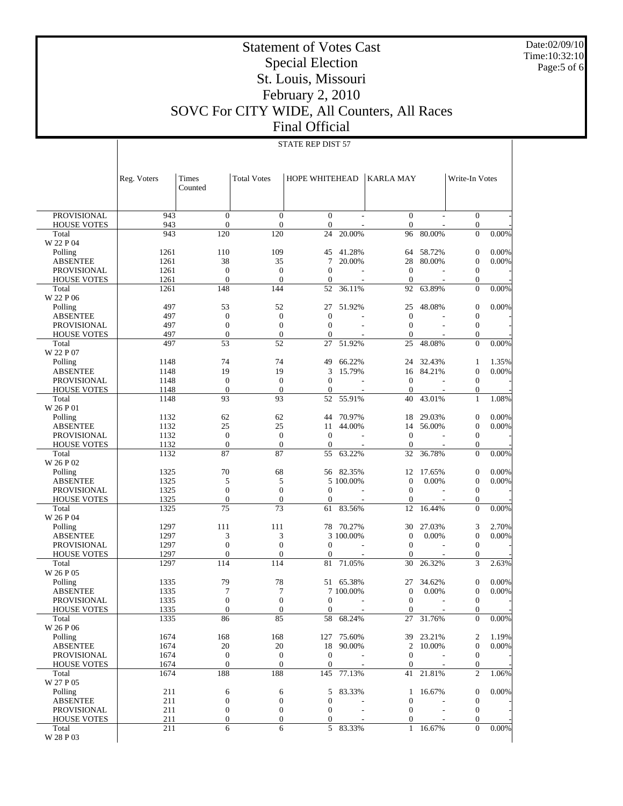Date:02/09/10 Time:10:32:10 Page:5 of 6

# Statement of Votes Cast Special Election St. Louis, Missouri February 2, 2010 SOVC For CITY WIDE, All Counters, All Races Final Official

#### STATE REP DIST 57

|                                          | Reg. Voters  | Times<br>Counted             | <b>Total Votes</b>               | HOPE WHITEHEAD           |                     | KARLA MAY                        |                          | Write-In Votes                   |                |
|------------------------------------------|--------------|------------------------------|----------------------------------|--------------------------|---------------------|----------------------------------|--------------------------|----------------------------------|----------------|
| <b>PROVISIONAL</b>                       | 943          | $\mathbf{0}$                 | $\boldsymbol{0}$                 | $\overline{0}$           |                     | $\overline{0}$                   |                          | $\overline{0}$                   |                |
| <b>HOUSE VOTES</b>                       | 943<br>943   | $\mathbf{0}$<br>120          | $\boldsymbol{0}$<br>120          | $\overline{0}$<br>24     |                     | $\overline{0}$<br>96             | 80.00%                   | $\mathbf{0}$<br>$\overline{0}$   | 0.00%          |
| Total<br>W 22 P 04                       |              |                              |                                  |                          | 20.00%              |                                  |                          |                                  |                |
| Polling                                  | 1261         | 110                          | 109                              | 45                       | 41.28%              | 64                               | 58.72%                   | $\boldsymbol{0}$                 | 0.00%          |
| <b>ABSENTEE</b>                          | 1261         | 38                           | 35                               | 7                        | 20.00%              | 28                               | 80.00%                   | $\boldsymbol{0}$                 | 0.00%          |
| <b>PROVISIONAL</b>                       | 1261         | $\mathbf{0}$                 | $\boldsymbol{0}$                 | $\overline{0}$           |                     | $\boldsymbol{0}$                 |                          | $\boldsymbol{0}$                 |                |
| <b>HOUSE VOTES</b>                       | 1261         | $\mathbf{0}$                 | $\mathbf{0}$                     | $\overline{0}$           |                     | $\mathbf{0}$                     |                          | $\mathbf{0}$                     |                |
| Total                                    | 1261         | 148                          | 144                              | 52                       | 36.11%              | 92                               | 63.89%                   | $\mathbf{0}$                     | 0.00%          |
| W 22 P 06                                |              |                              |                                  |                          |                     |                                  |                          |                                  |                |
| Polling                                  | 497          | 53                           | 52                               | 27                       | 51.92%              | 25                               | 48.08%                   | $\boldsymbol{0}$                 | 0.00%          |
| <b>ABSENTEE</b>                          | 497          | $\mathbf{0}$                 | $\mathbf{0}$                     | $\overline{0}$           |                     | $\boldsymbol{0}$                 |                          | $\boldsymbol{0}$                 |                |
| <b>PROVISIONAL</b>                       | 497          | $\mathbf{0}$                 | $\boldsymbol{0}$                 | $\overline{0}$           |                     | $\mathbf{0}$                     | $\overline{\phantom{a}}$ | $\boldsymbol{0}$                 |                |
| <b>HOUSE VOTES</b>                       | 497          | $\mathbf{0}$                 | $\boldsymbol{0}$                 | $\mathbf{0}$             |                     | $\overline{0}$                   |                          | $\mathbf{0}$                     |                |
| Total                                    | 497          | 53                           | 52                               | 27                       | 51.92%              | 25                               | 48.08%                   | $\overline{0}$                   | 0.00%          |
| W 22 P 07                                |              |                              |                                  |                          |                     |                                  |                          |                                  |                |
| Polling                                  | 1148         | 74                           | 74                               | 49                       | 66.22%              | 24                               | 32.43%                   | 1                                | 1.35%          |
| <b>ABSENTEE</b>                          | 1148         | 19                           | 19                               | 3                        | 15.79%              | 16                               | 84.21%                   | $\boldsymbol{0}$                 | 0.00%          |
| <b>PROVISIONAL</b><br><b>HOUSE VOTES</b> | 1148<br>1148 | $\mathbf{0}$<br>$\mathbf{0}$ | $\boldsymbol{0}$<br>$\mathbf{0}$ | $\theta$<br>$\mathbf{0}$ |                     | $\boldsymbol{0}$<br>$\mathbf{0}$ |                          | $\boldsymbol{0}$<br>$\mathbf{0}$ |                |
| Total                                    | 1148         | 93                           | 93                               | 52                       | 55.91%              | 40                               | 43.01%                   | $\mathbf{1}$                     | 1.08%          |
| W 26 P 01                                |              |                              |                                  |                          |                     |                                  |                          |                                  |                |
| Polling                                  | 1132         | 62                           | 62                               | 44                       | 70.97%              | 18                               | 29.03%                   | $\boldsymbol{0}$                 | 0.00%          |
| <b>ABSENTEE</b>                          | 1132         | 25                           | 25                               | 11                       | 44.00%              | 14                               | 56.00%                   | $\boldsymbol{0}$                 | 0.00%          |
| <b>PROVISIONAL</b>                       | 1132         | $\mathbf{0}$                 | $\boldsymbol{0}$                 | $\overline{0}$           | L,                  | $\boldsymbol{0}$                 |                          | $\boldsymbol{0}$                 |                |
| <b>HOUSE VOTES</b>                       | 1132         | $\boldsymbol{0}$             | $\boldsymbol{0}$                 | $\overline{0}$           |                     | $\mathbf{0}$                     |                          | $\mathbf{0}$                     |                |
| Total                                    | 1132         | 87                           | 87                               | 55                       | 63.22%              | 32                               | 36.78%                   | $\overline{0}$                   | 0.00%          |
| W 26 P 02                                |              |                              |                                  |                          |                     |                                  |                          |                                  |                |
| Polling                                  | 1325         | 70                           | 68                               | 56                       | 82.35%              | 12                               | 17.65%                   | $\boldsymbol{0}$                 | 0.00%          |
| <b>ABSENTEE</b>                          | 1325         | 5                            | 5                                |                          | 5 100.00%           | $\boldsymbol{0}$                 | 0.00%                    | $\boldsymbol{0}$                 | 0.00%          |
| <b>PROVISIONAL</b>                       | 1325         | $\mathbf{0}$                 | $\boldsymbol{0}$                 | $\theta$                 |                     | $\boldsymbol{0}$                 |                          | $\boldsymbol{0}$                 |                |
| <b>HOUSE VOTES</b>                       | 1325         | $\boldsymbol{0}$             | $\overline{0}$                   | $\mathbf{0}$             |                     | $\overline{0}$                   |                          | $\mathbf{0}$                     |                |
| Total                                    | 1325         | 75                           | 73                               | 61                       | 83.56%              | 12                               | 16.44%                   | $\overline{0}$                   | 0.00%          |
| W 26 P 04                                |              |                              |                                  |                          |                     |                                  |                          |                                  |                |
| Polling<br><b>ABSENTEE</b>               | 1297<br>1297 | 111<br>3                     | 111<br>3                         | 78                       | 70.27%<br>3 100.00% | 30<br>$\boldsymbol{0}$           | 27.03%<br>0.00%          | 3<br>$\boldsymbol{0}$            | 2.70%<br>0.00% |
| <b>PROVISIONAL</b>                       | 1297         | $\mathbf{0}$                 | $\boldsymbol{0}$                 | $\theta$                 | L,                  | $\boldsymbol{0}$                 |                          | $\boldsymbol{0}$                 |                |
| <b>HOUSE VOTES</b>                       | 1297         | $\mathbf{0}$                 | $\boldsymbol{0}$                 | $\mathbf{0}$             |                     | $\theta$                         |                          | $\mathbf{0}$                     |                |
| Total                                    | 1297         | 114                          | 114                              | 81                       | 71.05%              | 30                               | 26.32%                   | 3                                | 2.63%          |
| W 26 P 05                                |              |                              |                                  |                          |                     |                                  |                          |                                  |                |
| Polling                                  | 1335         | 79                           | 78                               | 51                       | 65.38%              | 27                               | 34.62%                   | $\boldsymbol{0}$                 | 0.00%          |
| <b>ABSENTEE</b>                          | 1335         | $\overline{7}$               | 7                                |                          | 7 100.00%           | $\boldsymbol{0}$                 | 0.00%                    | $\boldsymbol{0}$                 | 0.00%          |
| <b>PROVISIONAL</b>                       | 1335         | $\mathbf{0}$                 | $\boldsymbol{0}$                 | $\theta$                 |                     | $\boldsymbol{0}$                 |                          | $\boldsymbol{0}$                 |                |
| <b>HOUSE VOTES</b>                       | 1335         | $\overline{0}$               | $\boldsymbol{0}$                 | $\boldsymbol{0}$         |                     | $\overline{0}$                   |                          | $\mathbf{0}$                     |                |
| Total                                    | 1335         | 86                           | 85                               | 58                       | 68.24%              | 27                               | 31.76%                   | $\boldsymbol{0}$                 | 0.00%          |
| W 26 P 06                                |              |                              |                                  |                          |                     |                                  |                          |                                  |                |
| Polling                                  | 1674         | 168                          | 168                              |                          | 127 75.60%          |                                  | 39 23.21%                | $\overline{c}$                   | 1.19%          |
| <b>ABSENTEE</b>                          | 1674         | 20                           | 20                               |                          | 18 90.00%           |                                  | 2 10.00%                 | $\boldsymbol{0}$                 | 0.00%          |
| <b>PROVISIONAL</b>                       | 1674         | $\boldsymbol{0}$             | $\boldsymbol{0}$                 | $\boldsymbol{0}$         |                     | $\mathbf{0}$                     |                          | $\mathbf{0}$                     |                |
| <b>HOUSE VOTES</b><br>Total              | 1674<br>1674 | $\mathbf{0}$<br>188          | $\mathbf{0}$<br>188              | $\mathbf{0}$<br>145      | 77.13%              | $\mathbf{0}$<br>41               | 21.81%                   | $\mathbf{0}$<br>$\mathfrak{2}$   | 1.06%          |
| W 27 P 05                                |              |                              |                                  |                          |                     |                                  |                          |                                  |                |
| Polling                                  | 211          | 6                            | 6                                | 5                        | 83.33%              | $\mathbf{1}$                     | 16.67%                   | $\boldsymbol{0}$                 | 0.00%          |
| <b>ABSENTEE</b>                          | 211          | $\boldsymbol{0}$             | $\boldsymbol{0}$                 | $\boldsymbol{0}$         |                     | $\boldsymbol{0}$                 |                          | $\mathbf{0}$                     |                |
| <b>PROVISIONAL</b>                       | 211          | $\boldsymbol{0}$             | $\boldsymbol{0}$                 | $\boldsymbol{0}$         |                     | $\boldsymbol{0}$                 |                          | $\mathbf{0}$                     |                |
| <b>HOUSE VOTES</b>                       | 211          | $\boldsymbol{0}$             | $\boldsymbol{0}$                 | 0                        |                     | 0                                |                          | $\mathbf{0}$                     |                |
| Total                                    | 211          | 6                            | 6                                |                          | 5 83.33%            |                                  | 1 16.67%                 | $\overline{0}$                   | 0.00%          |
| W 28 P 03                                |              |                              |                                  |                          |                     |                                  |                          |                                  |                |